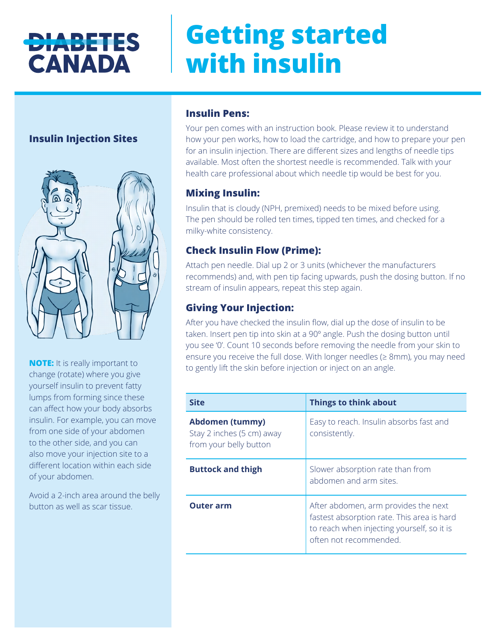## **DIABETES CANADA**

# **Getting started with insulin**

## **Insulin Injection Sites**



**NOTE:** It is really important to change (rotate) where you give yourself insulin to prevent fatty lumps from forming since these can affect how your body absorbs insulin. For example, you can move from one side of your abdomen to the other side, and you can also move your injection site to a different location within each side of your abdomen.

Avoid a 2-inch area around the belly button as well as scar tissue.

## **Insulin Pens:**

Your pen comes with an instruction book. Please review it to understand how your pen works, how to load the cartridge, and how to prepare your pen for an insulin injection. There are different sizes and lengths of needle tips available. Most often the shortest needle is recommended. Talk with your health care professional about which needle tip would be best for you.

## **Mixing Insulin:**

Insulin that is cloudy (NPH, premixed) needs to be mixed before using. The pen should be rolled ten times, tipped ten times, and checked for a milky-white consistency.

## **Check Insulin Flow (Prime):**

Attach pen needle. Dial up 2 or 3 units (whichever the manufacturers recommends) and, with pen tip facing upwards, push the dosing button. If no stream of insulin appears, repeat this step again.

## **Giving Your Injection:**

After you have checked the insulin flow, dial up the dose of insulin to be taken. Insert pen tip into skin at a 90º angle. Push the dosing button until you see '0'. Count 10 seconds before removing the needle from your skin to ensure you receive the full dose. With longer needles (≥ 8mm), you may need to gently lift the skin before injection or inject on an angle.

| <b>Site</b>                                                            | <b>Things to think about</b>                                                                                                                               |
|------------------------------------------------------------------------|------------------------------------------------------------------------------------------------------------------------------------------------------------|
| Abdomen (tummy)<br>Stay 2 inches (5 cm) away<br>from your belly button | Easy to reach. Insulin absorbs fast and<br>consistently.                                                                                                   |
| <b>Buttock and thigh</b>                                               | Slower absorption rate than from<br>abdomen and arm sites.                                                                                                 |
| <b>Outer arm</b>                                                       | After abdomen, arm provides the next<br>fastest absorption rate. This area is hard<br>to reach when injecting yourself, so it is<br>often not recommended. |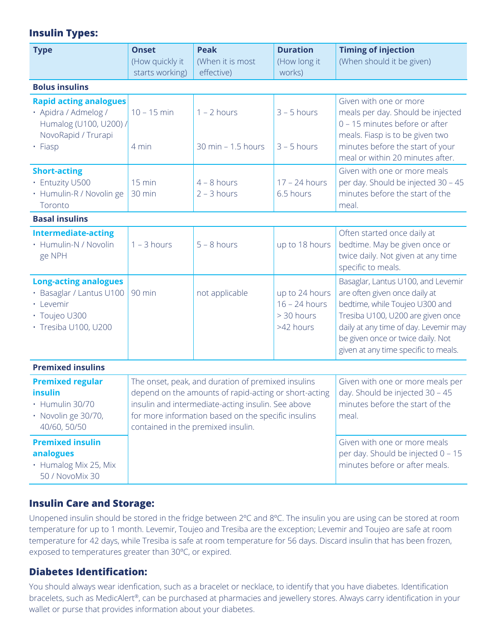## **Insulin Types:**

| <b>Type</b>                                                                                                       | <b>Onset</b><br>(How quickly it<br>starts working) | <b>Peak</b><br>(When it is most<br>effective)                                                                                                                                                                            | <b>Duration</b><br>(How long it<br>works)                                                                       | <b>Timing of injection</b><br>(When should it be given)                                                                                                                                                                                                          |  |  |
|-------------------------------------------------------------------------------------------------------------------|----------------------------------------------------|--------------------------------------------------------------------------------------------------------------------------------------------------------------------------------------------------------------------------|-----------------------------------------------------------------------------------------------------------------|------------------------------------------------------------------------------------------------------------------------------------------------------------------------------------------------------------------------------------------------------------------|--|--|
| <b>Bolus insulins</b>                                                                                             |                                                    |                                                                                                                                                                                                                          |                                                                                                                 |                                                                                                                                                                                                                                                                  |  |  |
| <b>Rapid acting analogues</b><br>· Apidra / Admelog /<br>Humalog (U100, U200) /<br>NovoRapid / Trurapi<br>• Fiasp | $10 - 15$ min<br>4 min                             | $1 - 2$ hours<br>30 min - 1.5 hours                                                                                                                                                                                      | $3 - 5$ hours<br>$3 - 5$ hours                                                                                  | Given with one or more<br>meals per day. Should be injected<br>0 - 15 minutes before or after<br>meals. Fiasp is to be given two<br>minutes before the start of your                                                                                             |  |  |
| <b>Short-acting</b><br>• Entuzity U500<br>· Humulin-R / Novolin ge<br>Toronto                                     | $15$ min<br>30 min                                 | $4 - 8$ hours<br>$2 - 3$ hours                                                                                                                                                                                           | 17 - 24 hours<br>6.5 hours                                                                                      | meal or within 20 minutes after.<br>Given with one or more meals<br>per day. Should be injected 30 - 45<br>minutes before the start of the<br>meal.                                                                                                              |  |  |
| <b>Basal insulins</b>                                                                                             |                                                    |                                                                                                                                                                                                                          |                                                                                                                 |                                                                                                                                                                                                                                                                  |  |  |
| <b>Intermediate-acting</b><br>· Humulin-N / Novolin<br>ge NPH                                                     | $1 - 3$ hours                                      | $5 - 8$ hours                                                                                                                                                                                                            | up to 18 hours                                                                                                  | Often started once daily at<br>bedtime. May be given once or<br>twice daily. Not given at any time<br>specific to meals.                                                                                                                                         |  |  |
| <b>Long-acting analogues</b><br>· Basaglar / Lantus U100<br>· Levemir<br>· Toujeo U300<br>· Tresiba U100, U200    | 90 min                                             | not applicable                                                                                                                                                                                                           | up to 24 hours<br>$16 - 24$ hours<br>> 30 hours<br>>42 hours                                                    | Basaglar, Lantus U100, and Levemir<br>are often given once daily at<br>bedtime, while Toujeo U300 and<br>Tresiba U100, U200 are given once<br>daily at any time of day. Levemir may<br>be given once or twice daily. Not<br>given at any time specific to meals. |  |  |
| <b>Premixed insulins</b>                                                                                          |                                                    |                                                                                                                                                                                                                          |                                                                                                                 |                                                                                                                                                                                                                                                                  |  |  |
| <b>Premixed regular</b><br>insulin<br>Humulin 30/70<br>• Novolin ge 30/70,<br>40/60, 50/50                        | contained in the premixed insulin.                 | The onset, peak, and duration of premixed insulins<br>depend on the amounts of rapid-acting or short-acting<br>insulin and intermediate-acting insulin. See above<br>for more information based on the specific insulins | Given with one or more meals per<br>day. Should be injected 30 - 45<br>minutes before the start of the<br>meal. |                                                                                                                                                                                                                                                                  |  |  |
| <b>Premixed insulin</b><br>analogues<br>• Humalog Mix 25, Mix<br>50 / NovoMix 30                                  |                                                    |                                                                                                                                                                                                                          |                                                                                                                 | Given with one or more meals<br>per day. Should be injected 0 - 15<br>minutes before or after meals.                                                                                                                                                             |  |  |

## **Insulin Care and Storage:**

Unopened insulin should be stored in the fridge between 2ºC and 8ºC. The insulin you are using can be stored at room temperature for up to 1 month. Levemir, Toujeo and Tresiba are the exception; Levemir and Toujeo are safe at room temperature for 42 days, while Tresiba is safe at room temperature for 56 days. Discard insulin that has been frozen, exposed to temperatures greater than 30ºC, or expired.

## **Diabetes Identification:**

You should always wear idenfication, such as a bracelet or necklace, to identify that you have diabetes. Identification bracelets, such as MedicAlert®, can be purchased at pharmacies and jewellery stores. Always carry identification in your wallet or purse that provides information about your diabetes.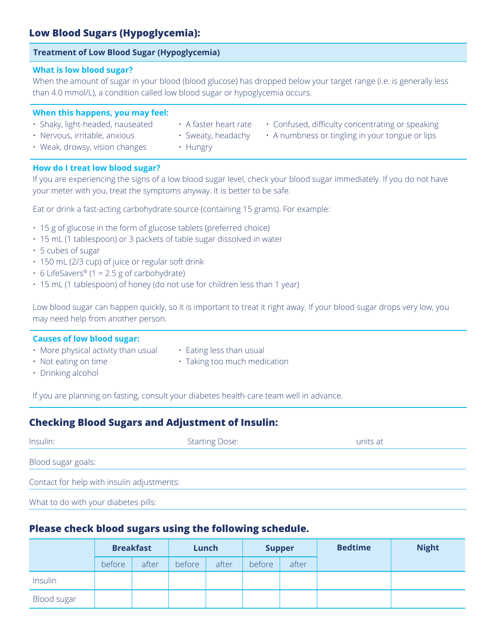## **Low Blood Sugars (Hypoglycemia):**

#### **Treatment of Low Blood Sugar (Hypoglycemia)**

#### **What is low blood sugar?**

When the amount of sugar in your blood (blood glucose) has dropped below your target range (i.e. is generally less than 4.0 mmol/L), a condition called low blood sugar or hypoglycemia occurs.

#### **When this happens, you may feel:**

- 
- 
- Shaky, light-headed, nauseated  $\cdot$  A faster heart rate  $\cdot$  Confused, difficulty concentrating or speaking
- 
- Weak, drowsy, vision changes Hungry
- **How do I treat low blood sugar?**

If you are experiencing the signs of a low blood sugar level, check your blood sugar immediately. If you do not have your meter with you, treat the symptoms anyway. It is better to be safe.

Eat or drink a fast-acting carbohydrate source (containing 15 grams). For example:

- 15 g of glucose in the form of glucose tablets (preferred choice)
- 15 mL (1 tablespoon) or 3 packets of table sugar dissolved in water
- 5 cubes of sugar
- 150 mL (2/3 cup) of juice or regular soft drink
- 6 LifeSavers<sup>®</sup> (1 = 2.5 g of carbohydrate)
- 15 mL (1 tablespoon) of honey (do not use for children less than 1 year)

Low blood sugar can happen quickly, so it is important to treat it right away. If your blood sugar drops very low, you may need help from another person.

#### **Causes of low blood sugar:**

- More physical activity than usual  $\cdot$  Eating less than usual
- 
- Not eating on time **•** Taking too much medication
- 

• Drinking alcohol

If you are planning on fasting, consult your diabetes health-care team well in advance.

## **Checking Blood Sugars and Adjustment of Insulin:**

| Insulin:                                   | <b>Starting Dose:</b> | units at |  |  |
|--------------------------------------------|-----------------------|----------|--|--|
| Blood sugar goals:                         |                       |          |  |  |
| Contact for help with insulin adjustments: |                       |          |  |  |
| What to do with your diabetes pills:       |                       |          |  |  |

## **Please check blood sugars using the following schedule.**

|             | <b>Breakfast</b> |       | Lunch  |       | <b>Supper</b> |       | <b>Bedtime</b> | <b>Night</b> |
|-------------|------------------|-------|--------|-------|---------------|-------|----------------|--------------|
|             | before           | after | before | after | before        | after |                |              |
| Insulin     |                  |       |        |       |               |       |                |              |
| Blood sugar |                  |       |        |       |               |       |                |              |

- 
- 
- Nervous, irritable, anxious Sweaty, headachy A numbness or tingling in your tongue or lips